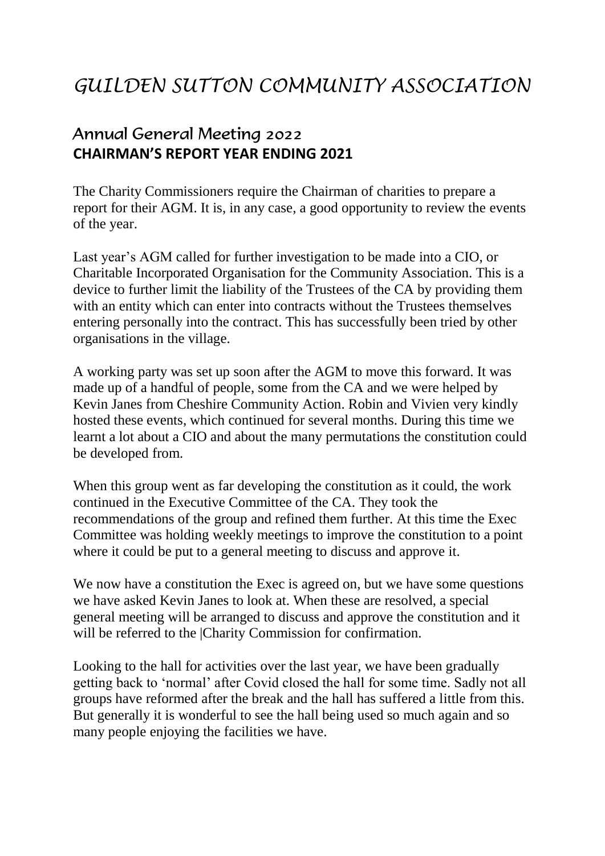## *GUILDEN SUTTON COMMUNITY ASSOCIATION*

## Annual General Meeting 2022 **CHAIRMAN'S REPORT YEAR ENDING 2021**

The Charity Commissioners require the Chairman of charities to prepare a report for their AGM. It is, in any case, a good opportunity to review the events of the year.

Last year's AGM called for further investigation to be made into a CIO, or Charitable Incorporated Organisation for the Community Association. This is a device to further limit the liability of the Trustees of the CA by providing them with an entity which can enter into contracts without the Trustees themselves entering personally into the contract. This has successfully been tried by other organisations in the village.

A working party was set up soon after the AGM to move this forward. It was made up of a handful of people, some from the CA and we were helped by Kevin Janes from Cheshire Community Action. Robin and Vivien very kindly hosted these events, which continued for several months. During this time we learnt a lot about a CIO and about the many permutations the constitution could be developed from.

When this group went as far developing the constitution as it could, the work continued in the Executive Committee of the CA. They took the recommendations of the group and refined them further. At this time the Exec Committee was holding weekly meetings to improve the constitution to a point where it could be put to a general meeting to discuss and approve it.

We now have a constitution the Exec is agreed on, but we have some questions we have asked Kevin Janes to look at. When these are resolved, a special general meeting will be arranged to discuss and approve the constitution and it will be referred to the Charity Commission for confirmation.

Looking to the hall for activities over the last year, we have been gradually getting back to 'normal' after Covid closed the hall for some time. Sadly not all groups have reformed after the break and the hall has suffered a little from this. But generally it is wonderful to see the hall being used so much again and so many people enjoying the facilities we have.